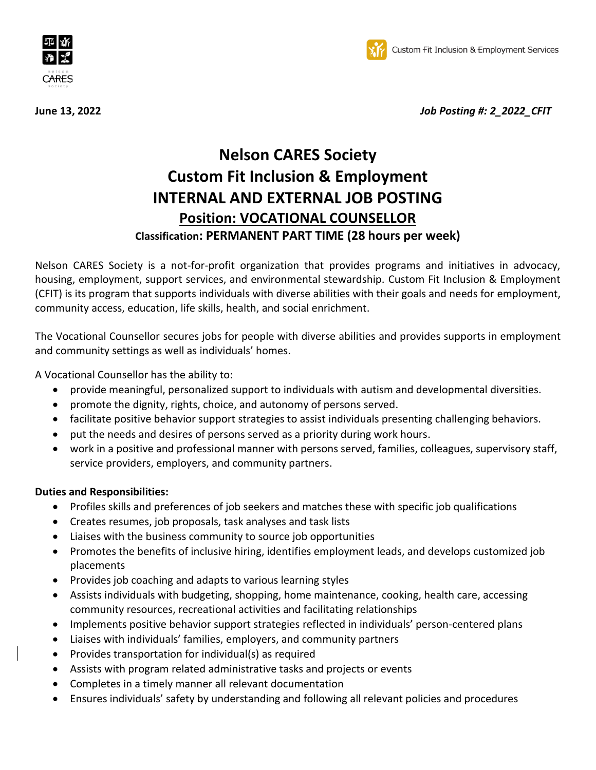



**June 13, 2022** *Job Posting #: 2\_2022\_CFIT*

# **Nelson CARES Society Custom Fit Inclusion & Employment INTERNAL AND EXTERNAL JOB POSTING Position: VOCATIONAL COUNSELLOR Classification: PERMANENT PART TIME (28 hours per week)**

Nelson CARES Society is a not-for-profit organization that provides programs and initiatives in advocacy, housing, employment, support services, and environmental stewardship. Custom Fit Inclusion & Employment (CFIT) is its program that supports individuals with diverse abilities with their goals and needs for employment, community access, education, life skills, health, and social enrichment.

The Vocational Counsellor secures jobs for people with diverse abilities and provides supports in employment and community settings as well as individuals' homes.

A Vocational Counsellor has the ability to:

- provide meaningful, personalized support to individuals with autism and developmental diversities.
- promote the dignity, rights, choice, and autonomy of persons served.
- facilitate positive behavior support strategies to assist individuals presenting challenging behaviors.
- put the needs and desires of persons served as a priority during work hours.
- work in a positive and professional manner with persons served, families, colleagues, supervisory staff, service providers, employers, and community partners.

# **Duties and Responsibilities:**

- Profiles skills and preferences of job seekers and matches these with specific job qualifications
- Creates resumes, job proposals, task analyses and task lists
- Liaises with the business community to source job opportunities
- Promotes the benefits of inclusive hiring, identifies employment leads, and develops customized job placements
- Provides job coaching and adapts to various learning styles
- Assists individuals with budgeting, shopping, home maintenance, cooking, health care, accessing community resources, recreational activities and facilitating relationships
- Implements positive behavior support strategies reflected in individuals' person-centered plans
- Liaises with individuals' families, employers, and community partners
- Provides transportation for individual(s) as required
- Assists with program related administrative tasks and projects or events
- Completes in a timely manner all relevant documentation
- Ensures individuals' safety by understanding and following all relevant policies and procedures